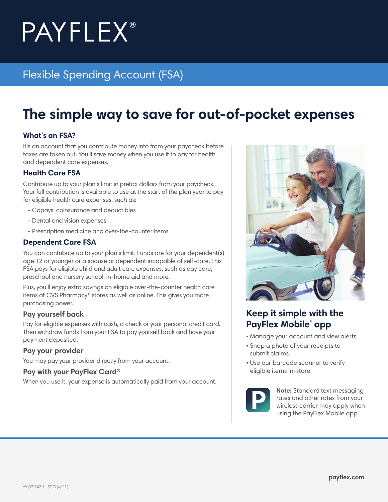# **PAYFLEX®**

# Flexible Spending Account (FSA)

# **The simple way to save for out-of-pocket expenses**

#### **What's an FSA?**

It's an account that you contribute money into from your paycheck before taxes are taken out. You'll save money when you use it to pay for health and dependent care expenses.

#### **Health Care FSA**

Contribute up to your plan's limit in pretax dollars from your paycheck. Your full contribution is available to use at the start of the plan year to pay for eligible health care expenses, such as:

- Copays, coinsurance and deductibles
- Dental and vision expenses
- Prescription medicine and over-the-counter items

#### **Dependent Care FSA**

You can contribute up to your plan's limit. Funds are for your dependent(s) age 12 or younger or a spouse or dependent incapable of self-care. This FSA pays for eligible child and adult care expenses, such as day care, preschool and nursery school, in-home aid and more.

Plus, you'll enjoy extra savings on eligible over-the-counter health care items at CVS Pharmacy® stores as well as online. This gives you more purchasing power.

#### **Pay yourself back**

Pay for eligible expenses with cash, a check or your personal credit card. Then withdraw funds from your FSA to pay yourself back and have your payment deposited.

#### **Pay your provider**

You may pay your provider directly from your account.

#### **Pay with your PayFlex Card®**

When you use it, your expense is automatically paid from your account.



### **Keep it simple with the PayFlex Mobile app**

- Manage your account and view alerts.
- Snap a photo of your receipts to submit claims.
- Use our barcode scanner to verify eligible items in-store.



**Note:** Standard text messaging rates and other rates from your wireless carrier may apply when using the PayFlex Mobile app.